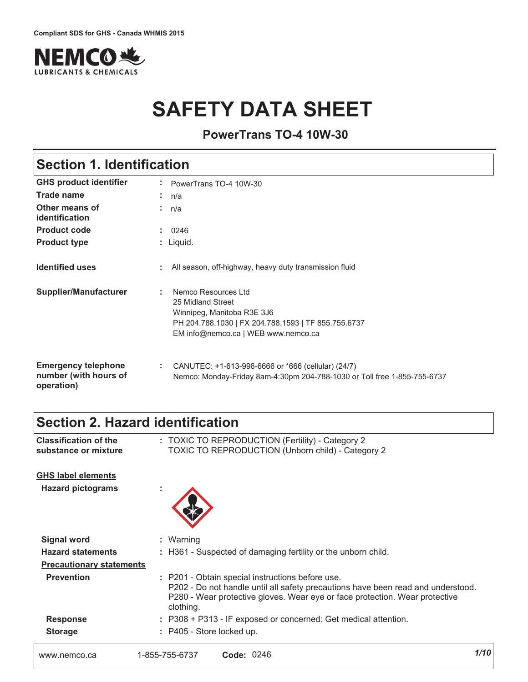

# **SAFETY DATA SHEET**

**PowerTrans TO-4 10W-30**

### **Section 1. Identification**

| <b>GHS product identifier</b>                                     | PowerTrans TO-4 10W-30                                                                                                                                                     |
|-------------------------------------------------------------------|----------------------------------------------------------------------------------------------------------------------------------------------------------------------------|
| Trade name                                                        | ÷.<br>n/a                                                                                                                                                                  |
| Other means of<br>identification                                  | n/a                                                                                                                                                                        |
| <b>Product code</b>                                               | 0246                                                                                                                                                                       |
| <b>Product type</b>                                               | : Liquid.                                                                                                                                                                  |
| <b>Identified uses</b>                                            | : All season, off-highway, heavy duty transmission fluid                                                                                                                   |
| Supplier/Manufacturer                                             | Nemco Resources Ltd<br>÷.<br>25 Midland Street<br>Winnipeg, Manitoba R3E 3J6<br>PH 204.788.1030   FX 204.788.1593   TF 855.755.6737<br>EM info@nemco.ca   WEB www.nemco.ca |
| <b>Emergency telephone</b><br>number (with hours of<br>operation) | CANUTEC: +1-613-996-6666 or *666 (cellular) (24/7)<br>÷.<br>Nemco: Monday-Friday 8am-4:30pm 204-788-1030 or Toll free 1-855-755-6737                                       |

### **Section 2. Hazard identification**

| <b>GHS label elements</b>       |                                                                                                                                                                                                                                  |      |
|---------------------------------|----------------------------------------------------------------------------------------------------------------------------------------------------------------------------------------------------------------------------------|------|
| <b>Hazard pictograms</b>        | t                                                                                                                                                                                                                                |      |
| <b>Signal word</b>              | : Warning                                                                                                                                                                                                                        |      |
| <b>Hazard statements</b>        | : H361 - Suspected of damaging fertility or the unborn child.                                                                                                                                                                    |      |
| <b>Precautionary statements</b> |                                                                                                                                                                                                                                  |      |
| <b>Prevention</b>               | : P201 - Obtain special instructions before use.<br>P202 - Do not handle until all safety precautions have been read and understood.<br>P280 - Wear protective gloves. Wear eye or face protection. Wear protective<br>clothing. |      |
| <b>Response</b>                 | : P308 + P313 - IF exposed or concerned: Get medical attention.                                                                                                                                                                  |      |
| <b>Storage</b>                  | : P405 - Store locked up.                                                                                                                                                                                                        |      |
| www.nemco.ca                    | Code: 0246<br>1-855-755-6737                                                                                                                                                                                                     | 1/10 |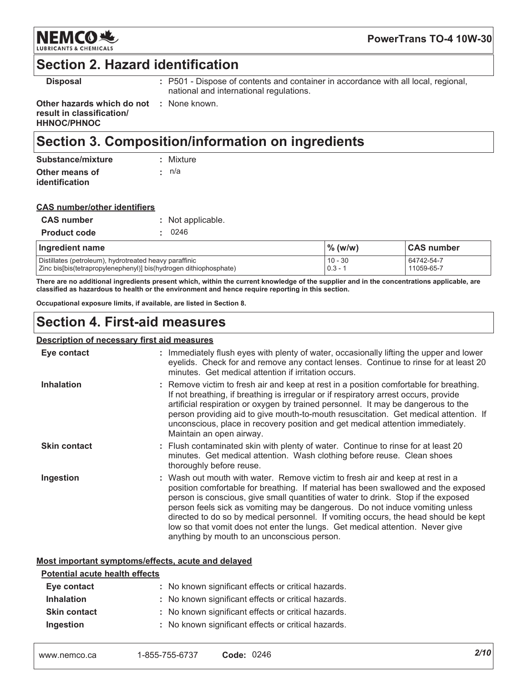

### **Section 2. Hazard identification**

**Disposal** 

: P501 - Dispose of contents and container in accordance with all local, regional, national and international regulations.

Other hazards which do not : None known. result in classification/ **HHNOC/PHNOC** 

# Section 3. Composition/information on ingredients

| Substance/mixture | : Mixture   |
|-------------------|-------------|
| Other means of    | $\cdot$ n/a |
| identification    |             |

| <b>CAS number/other identifiers</b> |  |
|-------------------------------------|--|
|                                     |  |

| <b>CAS number</b>   | : Not applicable. |
|---------------------|-------------------|
| <b>Product code</b> | : 0246            |

| Ingredient name                                                   | $%$ (w/w) | ∣CAS number |
|-------------------------------------------------------------------|-----------|-------------|
| Distillates (petroleum), hydrotreated heavy paraffinic            | $10 - 30$ | 64742-54-7  |
| Zinc bis[bis(tetrapropylenephenyl)] bis(hydrogen dithiophosphate) | $0.3 -$   | 11059-65-7  |

There are no additional ingredients present which, within the current knowledge of the supplier and in the concentrations applicable, are classified as hazardous to health or the environment and hence require reporting in this section.

Occupational exposure limits, if available, are listed in Section 8.

### **Section 4. First-aid measures**

#### **Description of necessary first aid measures**

| Eye contact         | : Immediately flush eyes with plenty of water, occasionally lifting the upper and lower<br>eyelids. Check for and remove any contact lenses. Continue to rinse for at least 20<br>minutes. Get medical attention if irritation occurs.                                                                                                                                                                                                                                                                                                                           |
|---------------------|------------------------------------------------------------------------------------------------------------------------------------------------------------------------------------------------------------------------------------------------------------------------------------------------------------------------------------------------------------------------------------------------------------------------------------------------------------------------------------------------------------------------------------------------------------------|
| <b>Inhalation</b>   | : Remove victim to fresh air and keep at rest in a position comfortable for breathing.<br>If not breathing, if breathing is irregular or if respiratory arrest occurs, provide<br>artificial respiration or oxygen by trained personnel. It may be dangerous to the<br>person providing aid to give mouth-to-mouth resuscitation. Get medical attention. If<br>unconscious, place in recovery position and get medical attention immediately.<br>Maintain an open airway.                                                                                        |
| <b>Skin contact</b> | : Flush contaminated skin with plenty of water. Continue to rinse for at least 20<br>minutes. Get medical attention. Wash clothing before reuse. Clean shoes<br>thoroughly before reuse.                                                                                                                                                                                                                                                                                                                                                                         |
| Ingestion           | : Wash out mouth with water. Remove victim to fresh air and keep at rest in a<br>position comfortable for breathing. If material has been swallowed and the exposed<br>person is conscious, give small quantities of water to drink. Stop if the exposed<br>person feels sick as vomiting may be dangerous. Do not induce vomiting unless<br>directed to do so by medical personnel. If vomiting occurs, the head should be kept<br>low so that vomit does not enter the lungs. Get medical attention. Never give<br>anything by mouth to an unconscious person. |

#### Most important symptoms/effects, acute and delayed

#### **Potential acute health effects**

| Eye contact         | : No known significant effects or critical hazards. |
|---------------------|-----------------------------------------------------|
| <b>Inhalation</b>   | : No known significant effects or critical hazards. |
| <b>Skin contact</b> | : No known significant effects or critical hazards. |
| Ingestion           | : No known significant effects or critical hazards. |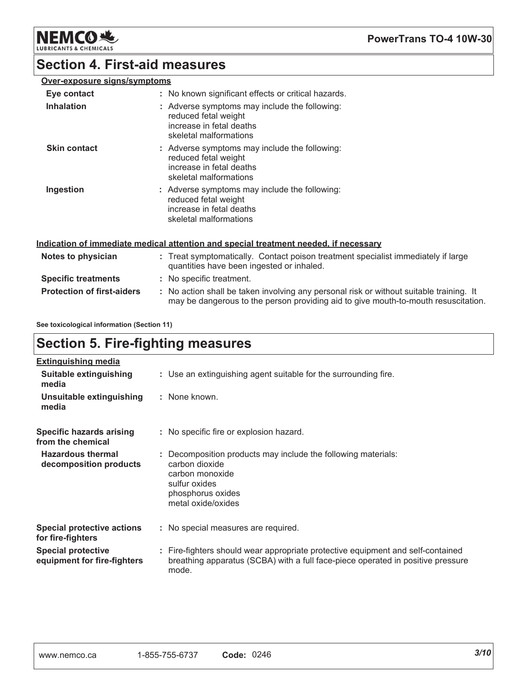**NEMCO地** LUBR

### **Section 4. First-aid measures**

### Over-exposure signs/symptoms

| Eye contact<br><b>Inhalation</b> | : No known significant effects or critical hazards.<br>: Adverse symptoms may include the following:<br>reduced fetal weight<br>increase in fetal deaths<br>skeletal malformations |
|----------------------------------|------------------------------------------------------------------------------------------------------------------------------------------------------------------------------------|
| <b>Skin contact</b>              | : Adverse symptoms may include the following:<br>reduced fetal weight<br>increase in fetal deaths<br>skeletal malformations                                                        |
| Ingestion                        | : Adverse symptoms may include the following:<br>reduced fetal weight<br>increase in fetal deaths<br>skeletal malformations                                                        |

#### Indication of immediate medical attention and special treatment needed, if necessary

| Notes to physician                | : Treat symptomatically. Contact poison treatment specialist immediately if large<br>quantities have been ingested or inhaled.                                                |
|-----------------------------------|-------------------------------------------------------------------------------------------------------------------------------------------------------------------------------|
| <b>Specific treatments</b>        | : No specific treatment.                                                                                                                                                      |
| <b>Protection of first-aiders</b> | : No action shall be taken involving any personal risk or without suitable training. It<br>may be dangerous to the person providing aid to give mouth-to-mouth resuscitation. |

See toxicological information (Section 11)

# **Section 5. Fire-fighting measures**

| <b>Extinguishing media</b>                               |                                                                                                                                                                             |
|----------------------------------------------------------|-----------------------------------------------------------------------------------------------------------------------------------------------------------------------------|
| Suitable extinguishing<br>media                          | : Use an extinguishing agent suitable for the surrounding fire.                                                                                                             |
| Unsuitable extinguishing<br>media                        | : None known.                                                                                                                                                               |
| Specific hazards arising<br>from the chemical            | : No specific fire or explosion hazard.                                                                                                                                     |
| <b>Hazardous thermal</b><br>decomposition products       | Decomposition products may include the following materials:<br>carbon dioxide<br>carbon monoxide<br>sulfur oxides<br>phosphorus oxides<br>metal oxide/oxides                |
| <b>Special protective actions</b><br>for fire-fighters   | : No special measures are required.                                                                                                                                         |
| <b>Special protective</b><br>equipment for fire-fighters | : Fire-fighters should wear appropriate protective equipment and self-contained<br>breathing apparatus (SCBA) with a full face-piece operated in positive pressure<br>mode. |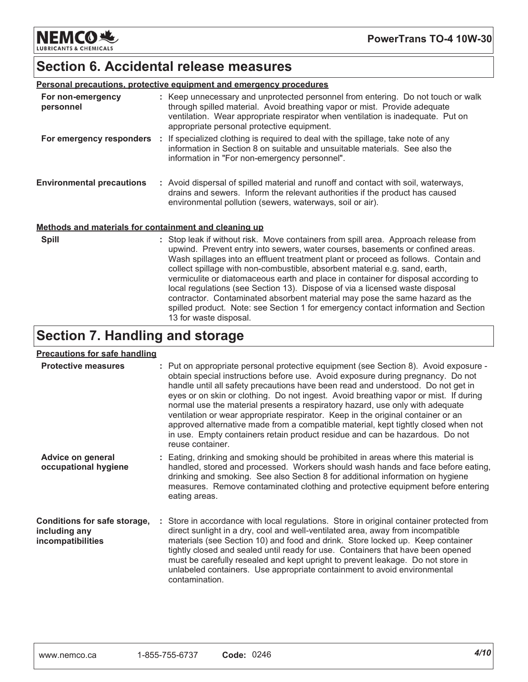**NEMCO头 LUBRICANTS & CHEMICALS** 

# **Section 6. Accidental release measures**

| <b>Personal precautions, protective equipment and emergency procedures</b> |  |                                                                                                                                                                                                                                                                                                                                                                                                                                                                                                                  |  |
|----------------------------------------------------------------------------|--|------------------------------------------------------------------------------------------------------------------------------------------------------------------------------------------------------------------------------------------------------------------------------------------------------------------------------------------------------------------------------------------------------------------------------------------------------------------------------------------------------------------|--|
| For non-emergency<br>personnel                                             |  | : Keep unnecessary and unprotected personnel from entering. Do not touch or walk<br>through spilled material. Avoid breathing vapor or mist. Provide adequate<br>ventilation. Wear appropriate respirator when ventilation is inadequate. Put on<br>appropriate personal protective equipment.                                                                                                                                                                                                                   |  |
| For emergency responders :                                                 |  | If specialized clothing is required to deal with the spillage, take note of any<br>information in Section 8 on suitable and unsuitable materials. See also the<br>information in "For non-emergency personnel".                                                                                                                                                                                                                                                                                                  |  |
| <b>Environmental precautions</b>                                           |  | : Avoid dispersal of spilled material and runoff and contact with soil, waterways,<br>drains and sewers. Inform the relevant authorities if the product has caused<br>environmental pollution (sewers, waterways, soil or air).                                                                                                                                                                                                                                                                                  |  |
| Methods and materials for containment and cleaning up                      |  |                                                                                                                                                                                                                                                                                                                                                                                                                                                                                                                  |  |
| <b>Spill</b>                                                               |  | : Stop leak if without risk. Move containers from spill area. Approach release from<br>upwind. Prevent entry into sewers, water courses, basements or confined areas.<br>Wash spillages into an effluent treatment plant or proceed as follows. Contain and<br>collect spillage with non-combustible, absorbent material e.g. sand, earth,<br>vermiculite or diatomaceous earth and place in container for disposal according to<br>local regulations (see Section 13). Dispose of via a licensed waste disposal |  |

contractor. Contaminated absorbent material may pose the same hazard as the spilled product. Note: see Section 1 for emergency contact information and Section

# **Section 7. Handling and storage**

13 for waste disposal.

### Precautions for safe handling

| <b>Protective measures</b>                                         | : Put on appropriate personal protective equipment (see Section 8). Avoid exposure -<br>obtain special instructions before use. Avoid exposure during pregnancy. Do not<br>handle until all safety precautions have been read and understood. Do not get in<br>eyes or on skin or clothing. Do not ingest. Avoid breathing vapor or mist. If during<br>normal use the material presents a respiratory hazard, use only with adequate<br>ventilation or wear appropriate respirator. Keep in the original container or an<br>approved alternative made from a compatible material, kept tightly closed when not<br>in use. Empty containers retain product residue and can be hazardous. Do not<br>reuse container. |
|--------------------------------------------------------------------|--------------------------------------------------------------------------------------------------------------------------------------------------------------------------------------------------------------------------------------------------------------------------------------------------------------------------------------------------------------------------------------------------------------------------------------------------------------------------------------------------------------------------------------------------------------------------------------------------------------------------------------------------------------------------------------------------------------------|
| Advice on general<br>occupational hygiene                          | : Eating, drinking and smoking should be prohibited in areas where this material is<br>handled, stored and processed. Workers should wash hands and face before eating,<br>drinking and smoking. See also Section 8 for additional information on hygiene<br>measures. Remove contaminated clothing and protective equipment before entering<br>eating areas.                                                                                                                                                                                                                                                                                                                                                      |
| Conditions for safe storage,<br>including any<br>incompatibilities | : Store in accordance with local regulations. Store in original container protected from<br>direct sunlight in a dry, cool and well-ventilated area, away from incompatible<br>materials (see Section 10) and food and drink. Store locked up. Keep container<br>tightly closed and sealed until ready for use. Containers that have been opened<br>must be carefully resealed and kept upright to prevent leakage. Do not store in<br>unlabeled containers. Use appropriate containment to avoid environmental<br>contamination.                                                                                                                                                                                  |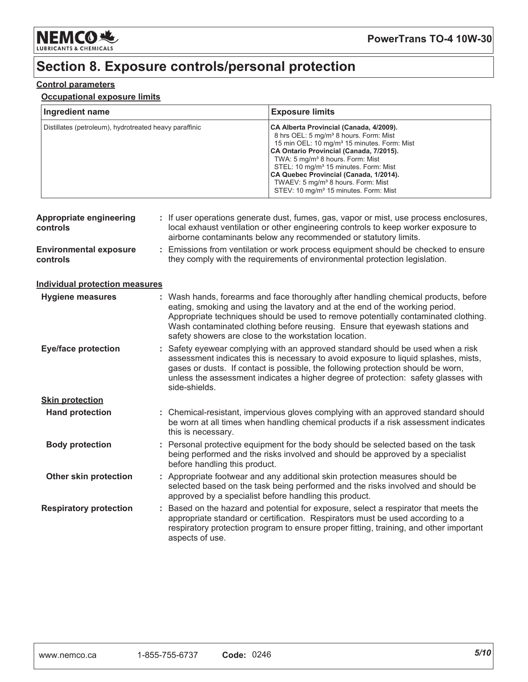

## Section 8. Exposure controls/personal protection

### **Control parameters**

#### **Occupational exposure limits**

| Ingredient name                                        | <b>Exposure limits</b>                                                                                                                                                                                                                                                                                                                                                                                                                                    |
|--------------------------------------------------------|-----------------------------------------------------------------------------------------------------------------------------------------------------------------------------------------------------------------------------------------------------------------------------------------------------------------------------------------------------------------------------------------------------------------------------------------------------------|
| Distillates (petroleum), hydrotreated heavy paraffinic | CA Alberta Provincial (Canada, 4/2009).<br>8 hrs OEL: 5 mg/m <sup>3</sup> 8 hours. Form: Mist<br>15 min OEL: 10 mg/m <sup>3</sup> 15 minutes. Form: Mist<br>CA Ontario Provincial (Canada, 7/2015).<br>TWA: 5 mg/m <sup>3</sup> 8 hours. Form: Mist<br>STEL: 10 mg/m <sup>3</sup> 15 minutes. Form: Mist<br>CA Quebec Provincial (Canada, 1/2014).<br>TWAEV: 5 mg/m <sup>3</sup> 8 hours. Form: Mist<br>STEV: 10 mg/m <sup>3</sup> 15 minutes. Form: Mist |

| <b>Appropriate engineering</b><br>controls |    | : If user operations generate dust, fumes, gas, vapor or mist, use process enclosures,<br>local exhaust ventilation or other engineering controls to keep worker exposure to<br>airborne contaminants below any recommended or statutory limits.                                                                                                                                                  |
|--------------------------------------------|----|---------------------------------------------------------------------------------------------------------------------------------------------------------------------------------------------------------------------------------------------------------------------------------------------------------------------------------------------------------------------------------------------------|
| <b>Environmental exposure</b><br>controls  | ÷. | Emissions from ventilation or work process equipment should be checked to ensure<br>they comply with the requirements of environmental protection legislation.                                                                                                                                                                                                                                    |
| <b>Individual protection measures</b>      |    |                                                                                                                                                                                                                                                                                                                                                                                                   |
| Hygiene measures                           |    | : Wash hands, forearms and face thoroughly after handling chemical products, before<br>eating, smoking and using the lavatory and at the end of the working period.<br>Appropriate techniques should be used to remove potentially contaminated clothing.<br>Wash contaminated clothing before reusing. Ensure that eyewash stations and<br>safety showers are close to the workstation location. |
| <b>Eye/face protection</b>                 |    | : Safety eyewear complying with an approved standard should be used when a risk<br>assessment indicates this is necessary to avoid exposure to liquid splashes, mists,<br>gases or dusts. If contact is possible, the following protection should be worn,<br>unless the assessment indicates a higher degree of protection: safety glasses with<br>side-shields.                                 |
| <b>Skin protection</b>                     |    |                                                                                                                                                                                                                                                                                                                                                                                                   |
| <b>Hand protection</b>                     |    | : Chemical-resistant, impervious gloves complying with an approved standard should<br>be worn at all times when handling chemical products if a risk assessment indicates<br>this is necessary.                                                                                                                                                                                                   |
| <b>Body protection</b>                     |    | : Personal protective equipment for the body should be selected based on the task<br>being performed and the risks involved and should be approved by a specialist<br>before handling this product.                                                                                                                                                                                               |
| Other skin protection                      |    | : Appropriate footwear and any additional skin protection measures should be<br>selected based on the task being performed and the risks involved and should be<br>approved by a specialist before handling this product.                                                                                                                                                                         |
| <b>Respiratory protection</b>              |    | : Based on the hazard and potential for exposure, select a respirator that meets the<br>appropriate standard or certification. Respirators must be used according to a<br>respiratory protection program to ensure proper fitting, training, and other important<br>aspects of use.                                                                                                               |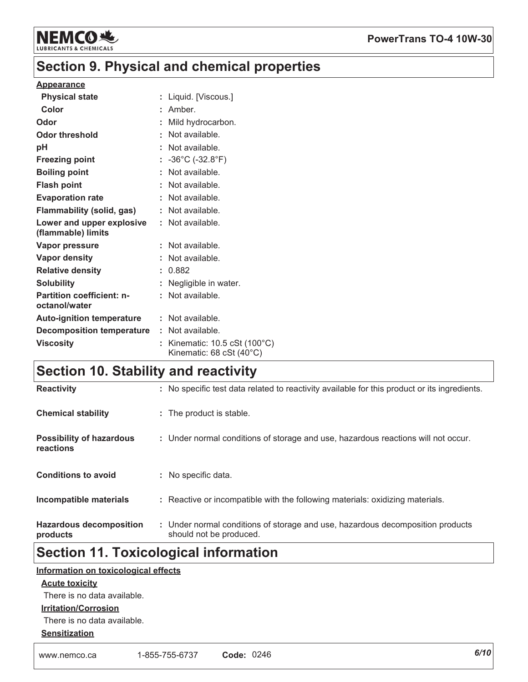

### Section 9. Physical and chemical properties

#### **Appearance**

| <b>Physical state</b>                             | : Liquid. [Viscous.]                                                                |
|---------------------------------------------------|-------------------------------------------------------------------------------------|
| Color                                             | $:$ Amber.                                                                          |
| Odor                                              | : Mild hydrocarbon.                                                                 |
| <b>Odor threshold</b>                             | : Not available.                                                                    |
| pH                                                | : Not available.                                                                    |
| <b>Freezing point</b>                             | : $-36^{\circ}$ C ( $-32.8^{\circ}$ F)                                              |
| <b>Boiling point</b>                              | : Not available.                                                                    |
| <b>Flash point</b>                                | : Not available.                                                                    |
| <b>Evaporation rate</b>                           | : Not available.                                                                    |
| <b>Flammability (solid, gas)</b>                  | : Not available.                                                                    |
| Lower and upper explosive<br>(flammable) limits   | : Not available.                                                                    |
| Vapor pressure                                    | : Not available.                                                                    |
| <b>Vapor density</b>                              | : Not available.                                                                    |
| <b>Relative density</b>                           | : 0.882                                                                             |
| <b>Solubility</b>                                 | : Negligible in water.                                                              |
| <b>Partition coefficient: n-</b><br>octanol/water | : Not available.                                                                    |
| <b>Auto-ignition temperature</b>                  | : Not available.                                                                    |
| <b>Decomposition temperature</b>                  | : Not available.                                                                    |
| <b>Viscosity</b>                                  | : Kinematic: $10.5 \text{ cSt } (100^{\circ} \text{C})$<br>Kinematic: 68 cSt (40°C) |

### **Section 10. Stability and reactivity**

| <b>Reactivity</b>                            | : No specific test data related to reactivity available for this product or its ingredients.              |
|----------------------------------------------|-----------------------------------------------------------------------------------------------------------|
| <b>Chemical stability</b>                    | : The product is stable.                                                                                  |
| <b>Possibility of hazardous</b><br>reactions | : Under normal conditions of storage and use, hazardous reactions will not occur.                         |
| <b>Conditions to avoid</b>                   | : No specific data.                                                                                       |
| Incompatible materials                       | : Reactive or incompatible with the following materials: oxidizing materials.                             |
| <b>Hazardous decomposition</b><br>products   | : Under normal conditions of storage and use, hazardous decomposition products<br>should not be produced. |

## **Section 11. Toxicological information**

### Information on toxicological effects

### **Acute toxicity**

There is no data available.

#### **Irritation/Corrosion**

There is no data available.

#### **Sensitization**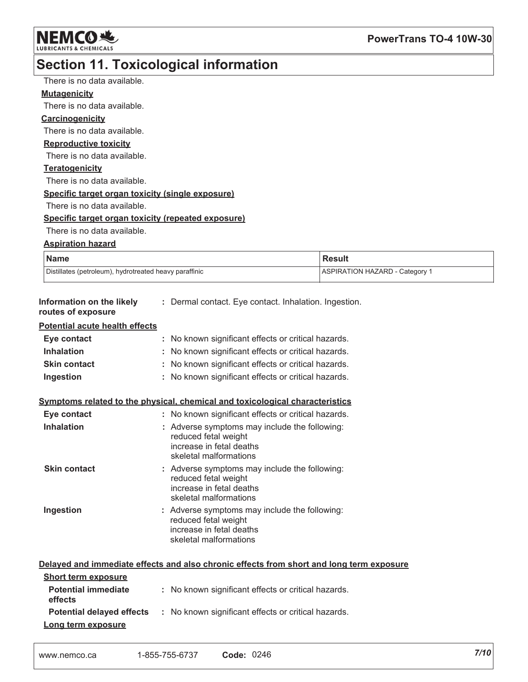

# **Section 11. Toxicological information**

| There is no data available.                            |                                                                              |                                                                                          |
|--------------------------------------------------------|------------------------------------------------------------------------------|------------------------------------------------------------------------------------------|
| <b>Mutagenicity</b>                                    |                                                                              |                                                                                          |
| There is no data available.                            |                                                                              |                                                                                          |
| <b>Carcinogenicity</b>                                 |                                                                              |                                                                                          |
| There is no data available.                            |                                                                              |                                                                                          |
| <b>Reproductive toxicity</b>                           |                                                                              |                                                                                          |
| There is no data available.                            |                                                                              |                                                                                          |
| <b>Teratogenicity</b>                                  |                                                                              |                                                                                          |
| There is no data available.                            |                                                                              |                                                                                          |
| Specific target organ toxicity (single exposure)       |                                                                              |                                                                                          |
| There is no data available.                            |                                                                              |                                                                                          |
| Specific target organ toxicity (repeated exposure)     |                                                                              |                                                                                          |
| There is no data available.                            |                                                                              |                                                                                          |
| <b>Aspiration hazard</b>                               |                                                                              |                                                                                          |
| <b>Name</b>                                            |                                                                              | <b>Result</b>                                                                            |
| Distillates (petroleum), hydrotreated heavy paraffinic |                                                                              | <b>ASPIRATION HAZARD - Category 1</b>                                                    |
|                                                        |                                                                              |                                                                                          |
| Information on the likely<br>routes of exposure        | : Dermal contact. Eye contact. Inhalation. Ingestion.                        |                                                                                          |
| <b>Potential acute health effects</b>                  |                                                                              |                                                                                          |
| Eye contact                                            | : No known significant effects or critical hazards.                          |                                                                                          |
| <b>Inhalation</b>                                      | : No known significant effects or critical hazards.                          |                                                                                          |
| <b>Skin contact</b>                                    | No known significant effects or critical hazards.                            |                                                                                          |
| Ingestion                                              | No known significant effects or critical hazards.                            |                                                                                          |
|                                                        | Symptoms related to the physical, chemical and toxicological characteristics |                                                                                          |
| Eye contact                                            | : No known significant effects or critical hazards.                          |                                                                                          |
| <b>Inhalation</b>                                      | : Adverse symptoms may include the following:                                |                                                                                          |
|                                                        | reduced fetal weight                                                         |                                                                                          |
|                                                        | increase in fetal deaths<br>skeletal malformations                           |                                                                                          |
| <b>Skin contact</b>                                    | : Adverse symptoms may include the following:                                |                                                                                          |
|                                                        | reduced fetal weight                                                         |                                                                                          |
|                                                        | increase in fetal deaths                                                     |                                                                                          |
|                                                        | skeletal malformations                                                       |                                                                                          |
| Ingestion                                              | : Adverse symptoms may include the following:<br>reduced fetal weight        |                                                                                          |
|                                                        | increase in fetal deaths                                                     |                                                                                          |
|                                                        | skeletal malformations                                                       |                                                                                          |
|                                                        |                                                                              |                                                                                          |
|                                                        |                                                                              | Delayed and immediate effects and also chronic effects from short and long term exposure |
| <b>Short term exposure</b>                             |                                                                              |                                                                                          |
| <b>Potential immediate</b>                             | : No known significant effects or critical hazards.                          |                                                                                          |
| effects                                                |                                                                              |                                                                                          |
| <b>Potential delayed effects</b>                       | : No known significant effects or critical hazards.                          |                                                                                          |
| Long term exposure                                     |                                                                              |                                                                                          |

| www.nemco.ca | 1-855-755-6737 | <b>Code: 0246</b> |
|--------------|----------------|-------------------|
|--------------|----------------|-------------------|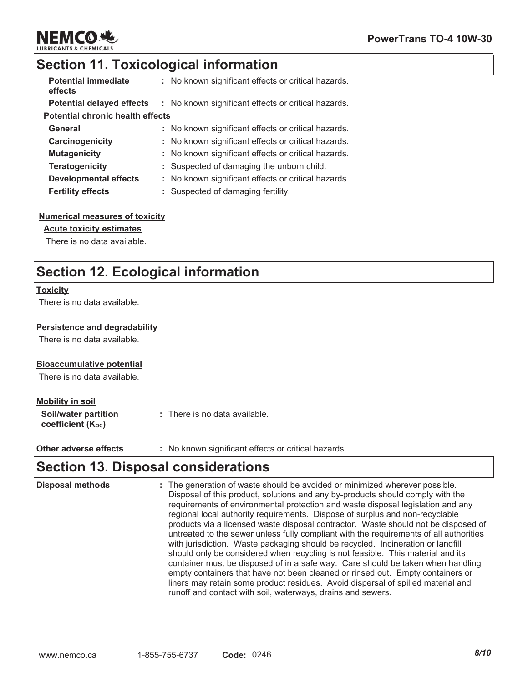

### **Section 11. Toxicological information**

| <b>Potential immediate</b><br>effects   | : No known significant effects or critical hazards. |
|-----------------------------------------|-----------------------------------------------------|
| <b>Potential delayed effects</b>        | : No known significant effects or critical hazards. |
| <b>Potential chronic health effects</b> |                                                     |
| General                                 | : No known significant effects or critical hazards. |
| Carcinogenicity                         | : No known significant effects or critical hazards. |
| <b>Mutagenicity</b>                     | : No known significant effects or critical hazards. |
| <b>Teratogenicity</b>                   | : Suspected of damaging the unborn child.           |
| <b>Developmental effects</b>            | : No known significant effects or critical hazards. |
| <b>Fertility effects</b>                | : Suspected of damaging fertility.                  |

#### **Numerical measures of toxicity**

#### **Acute toxicity estimates**

There is no data available.

### **Section 12. Ecological information**

#### **Toxicity**

There is no data available.

#### Persistence and degradability

There is no data available.

#### **Bioaccumulative potential**

There is no data available.

#### **Mobility in soil**

| Soil/water partition   | : There is no data available. |
|------------------------|-------------------------------|
| coefficient $(K_{oc})$ |                               |

: No known significant effects or critical hazards. Other adverse effects

### **Section 13. Disposal considerations**

| <b>Disposal methods</b> | : The generation of waste should be avoided or minimized wherever possible.<br>Disposal of this product, solutions and any by-products should comply with the<br>requirements of environmental protection and waste disposal legislation and any<br>regional local authority requirements. Dispose of surplus and non-recyclable<br>products via a licensed waste disposal contractor. Waste should not be disposed of<br>untreated to the sewer unless fully compliant with the requirements of all authorities<br>with jurisdiction. Waste packaging should be recycled. Incineration or landfill<br>should only be considered when recycling is not feasible. This material and its<br>container must be disposed of in a safe way. Care should be taken when handling<br>empty containers that have not been cleaned or rinsed out. Empty containers or<br>liners may retain some product residues. Avoid dispersal of spilled material and |
|-------------------------|-------------------------------------------------------------------------------------------------------------------------------------------------------------------------------------------------------------------------------------------------------------------------------------------------------------------------------------------------------------------------------------------------------------------------------------------------------------------------------------------------------------------------------------------------------------------------------------------------------------------------------------------------------------------------------------------------------------------------------------------------------------------------------------------------------------------------------------------------------------------------------------------------------------------------------------------------|
|                         | runoff and contact with soil, waterways, drains and sewers.                                                                                                                                                                                                                                                                                                                                                                                                                                                                                                                                                                                                                                                                                                                                                                                                                                                                                     |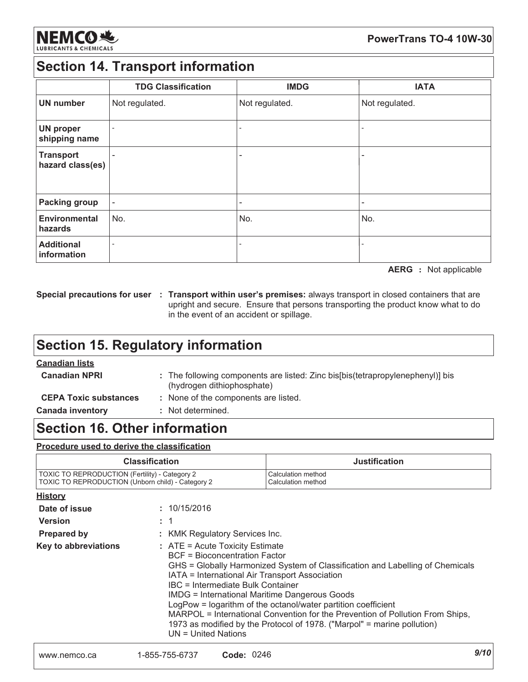

### **Section 14. Transport information**

|                                      | <b>TDG Classification</b> | <b>IMDG</b>    | <b>IATA</b>    |
|--------------------------------------|---------------------------|----------------|----------------|
| <b>UN number</b>                     | Not regulated.            | Not regulated. | Not regulated. |
| <b>UN proper</b><br>shipping name    |                           |                |                |
| <b>Transport</b><br>hazard class(es) |                           |                |                |
| <b>Packing group</b>                 |                           |                |                |
| <b>Environmental</b><br>hazards      | No.                       | No.            | No.            |
| <b>Additional</b><br>information     |                           |                |                |

**AERG** : Not applicable

Special precautions for user : Transport within user's premises: always transport in closed containers that are upright and secure. Ensure that persons transporting the product know what to do in the event of an accident or spillage.

### **Section 15. Regulatory information**

### **Canadian lists**

| <b>Canadian NPRI</b>         | : The following components are listed: Zinc bis[bis(tetrapropylenephenyl)] bis<br>(hydrogen dithiophosphate) |  |
|------------------------------|--------------------------------------------------------------------------------------------------------------|--|
| <b>CEPA Toxic substances</b> | : None of the components are listed.                                                                         |  |
| <b>Canada inventory</b>      | : Not determined.                                                                                            |  |

### **Section 16. Other information**

#### Procedure used to derive the classification

| <b>Classification</b>                             | <b>Justification</b> |
|---------------------------------------------------|----------------------|
| TOXIC TO REPRODUCTION (Fertility) - Category 2    | Calculation method   |
| TOXIC TO REPRODUCTION (Unborn child) - Category 2 | Calculation method   |

| <b>History</b>       |                                                                                                                                                                                                                                                                                                                                                                                                                                                                                                                                                                 |
|----------------------|-----------------------------------------------------------------------------------------------------------------------------------------------------------------------------------------------------------------------------------------------------------------------------------------------------------------------------------------------------------------------------------------------------------------------------------------------------------------------------------------------------------------------------------------------------------------|
| Date of issue        | : 10/15/2016                                                                                                                                                                                                                                                                                                                                                                                                                                                                                                                                                    |
| <b>Version</b>       |                                                                                                                                                                                                                                                                                                                                                                                                                                                                                                                                                                 |
| <b>Prepared by</b>   | : KMK Regulatory Services Inc.                                                                                                                                                                                                                                                                                                                                                                                                                                                                                                                                  |
| Key to abbreviations | $:$ ATE = Acute Toxicity Estimate<br><b>BCF</b> = Bioconcentration Factor<br>GHS = Globally Harmonized System of Classification and Labelling of Chemicals<br>IATA = International Air Transport Association<br>IBC = Intermediate Bulk Container<br><b>IMDG = International Maritime Dangerous Goods</b><br>LogPow = logarithm of the octanol/water partition coefficient<br>MARPOL = International Convention for the Prevention of Pollution From Ships,<br>1973 as modified by the Protocol of 1978. ("Marpol" = marine pollution)<br>$UN = United Nations$ |
|                      |                                                                                                                                                                                                                                                                                                                                                                                                                                                                                                                                                                 |